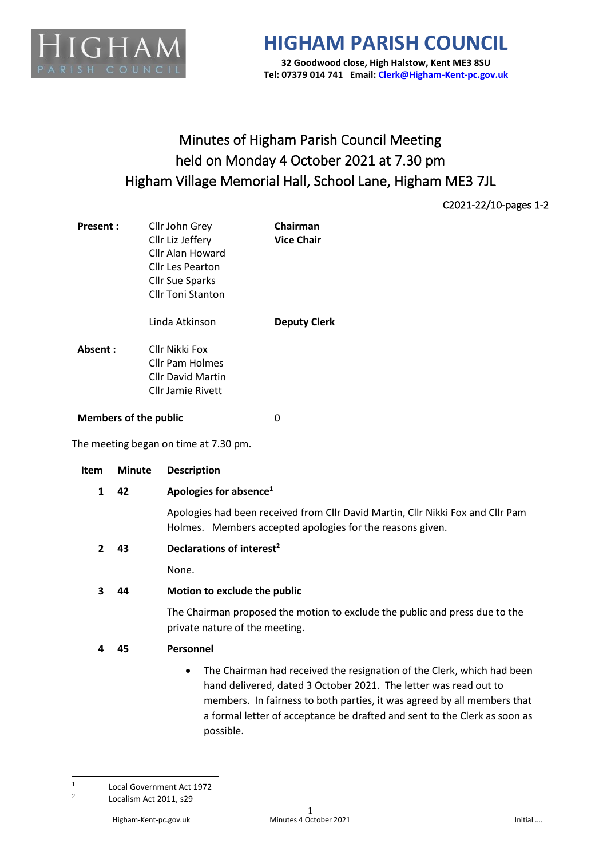

## **HIGHAM PARISH COUNCIL 32 Goodwood close, High Halstow, Kent ME3 8SU**

**Tel: 07379 014 741 Email[: Clerk@Higham-Kent-pc.gov.uk](mailto:Clerk@Higham-Kent-pc.gov.uk)**

## Minutes of Higham Parish Council Meeting held on Monday 4 October 2021 at 7.30 pm Higham Village Memorial Hall, School Lane, Higham ME3 7JL

C2021-22/10-pages 1-2

| <b>Present:</b>                       | Cllr John Grey<br>Cllr Liz Jeffery<br>Cllr Alan Howard<br>Cllr Les Pearton<br>Cllr Sue Sparks<br>Cllr Toni Stanton | Chairman<br><b>Vice Chair</b> |
|---------------------------------------|--------------------------------------------------------------------------------------------------------------------|-------------------------------|
|                                       | Linda Atkinson                                                                                                     | <b>Deputy Clerk</b>           |
| Absent:                               | Cllr Nikki Fox<br>Cllr Pam Holmes<br>Cllr David Martin<br><b>Cllr Jamie Rivett</b>                                 |                               |
| <b>Members of the public</b>          |                                                                                                                    | 0                             |
| The meeting began on time at 7.30 pm. |                                                                                                                    |                               |
|                                       |                                                                                                                    |                               |

| <b>Item</b>    | <b>Minute</b> | <b>Description</b>                                                                                                                                                                                                                                                                                                           |  |
|----------------|---------------|------------------------------------------------------------------------------------------------------------------------------------------------------------------------------------------------------------------------------------------------------------------------------------------------------------------------------|--|
| 1              | 42            | Apologies for absence <sup>1</sup>                                                                                                                                                                                                                                                                                           |  |
|                |               | Apologies had been received from Cllr David Martin, Cllr Nikki Fox and Cllr Pam<br>Holmes. Members accepted apologies for the reasons given.                                                                                                                                                                                 |  |
| $\overline{2}$ | 43            | Declarations of interest <sup>2</sup>                                                                                                                                                                                                                                                                                        |  |
|                |               | None.                                                                                                                                                                                                                                                                                                                        |  |
| 3              | 44            | Motion to exclude the public                                                                                                                                                                                                                                                                                                 |  |
|                |               | The Chairman proposed the motion to exclude the public and press due to the<br>private nature of the meeting.                                                                                                                                                                                                                |  |
| 4              | 45            | Personnel                                                                                                                                                                                                                                                                                                                    |  |
|                |               | The Chairman had received the resignation of the Clerk, which had been<br>$\bullet$<br>hand delivered, dated 3 October 2021. The letter was read out to<br>members. In fairness to both parties, it was agreed by all members that<br>a formal letter of acceptance be drafted and sent to the Clerk as soon as<br>possible. |  |

<sup>1</sup> Local Government Act 1972

<sup>2</sup> Localism Act 2011, s29